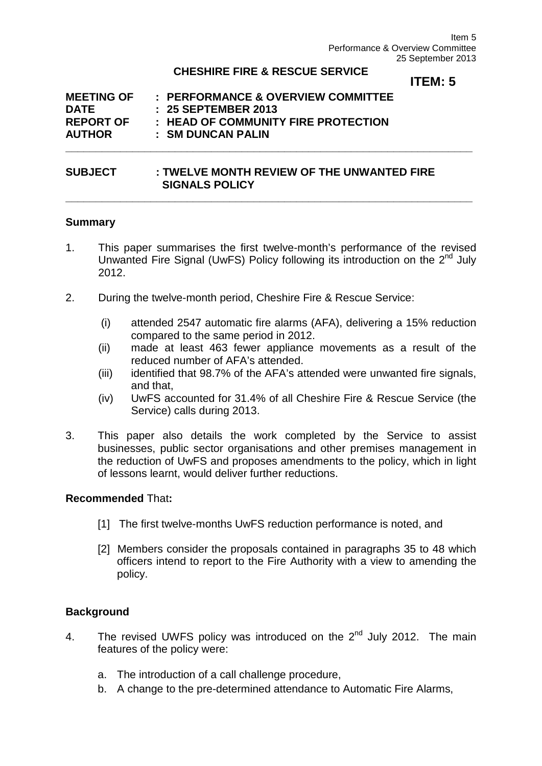#### **CHESHIRE FIRE & RESCUE SERVICE**

**\_\_\_\_\_\_\_\_\_\_\_\_\_\_\_\_\_\_\_\_\_\_\_\_\_\_\_\_\_\_\_\_\_\_\_\_\_\_\_\_\_\_\_\_\_\_\_\_\_\_\_\_\_\_\_\_\_\_\_\_\_\_\_\_\_\_\_**

**\_\_\_\_\_\_\_\_\_\_\_\_\_\_\_\_\_\_\_\_\_\_\_\_\_\_\_\_\_\_\_\_\_\_\_\_\_\_\_\_\_\_\_\_\_\_\_\_\_\_\_\_\_\_\_\_\_\_\_\_\_\_\_\_\_\_\_**

# **ITEM: 5**

| <b>MEETING OF</b> | : PERFORMANCE & OVERVIEW COMMITTEE  |
|-------------------|-------------------------------------|
| <b>DATE</b>       | : 25 SEPTEMBER 2013                 |
| <b>REPORT OF</b>  | : HEAD OF COMMUNITY FIRE PROTECTION |
| <b>AUTHOR</b>     | : SM DUNCAN PALIN                   |

### **SUBJECT : TWELVE MONTH REVIEW OF THE UNWANTED FIRE SIGNALS POLICY**

#### **Summary**

- 1. This paper summarises the first twelve-month's performance of the revised Unwanted Fire Signal (UwFS) Policy following its introduction on the  $2^{nd}$  July 2012.
- 2. During the twelve-month period, Cheshire Fire & Rescue Service:
	- (i) attended 2547 automatic fire alarms (AFA), delivering a 15% reduction compared to the same period in 2012.
	- (ii) made at least 463 fewer appliance movements as a result of the reduced number of AFA's attended.
	- (iii) identified that 98.7% of the AFA's attended were unwanted fire signals, and that,
	- (iv) UwFS accounted for 31.4% of all Cheshire Fire & Rescue Service (the Service) calls during 2013.
- 3. This paper also details the work completed by the Service to assist businesses, public sector organisations and other premises management in the reduction of UwFS and proposes amendments to the policy, which in light of lessons learnt, would deliver further reductions.

#### **Recommended** That**:**

- [1] The first twelve-months UwFS reduction performance is noted, and
- [2] Members consider the proposals contained in paragraphs 35 to 48 which officers intend to report to the Fire Authority with a view to amending the policy.

# **Background**

- 4. The revised UWFS policy was introduced on the  $2^{nd}$  July 2012. The main features of the policy were:
	- a. The introduction of a call challenge procedure,
	- b. A change to the pre-determined attendance to Automatic Fire Alarms,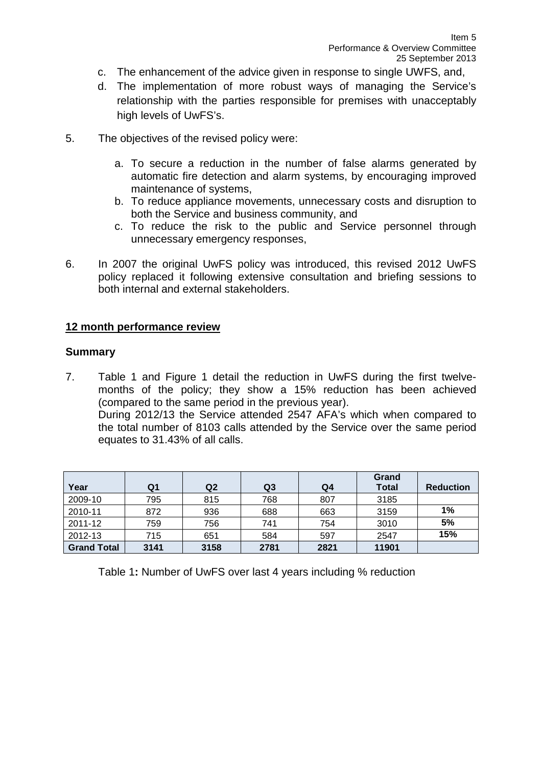- c. The enhancement of the advice given in response to single UWFS, and,
- d. The implementation of more robust ways of managing the Service's relationship with the parties responsible for premises with unacceptably high levels of UwFS's.
- 5. The objectives of the revised policy were:
	- a. To secure a reduction in the number of false alarms generated by automatic fire detection and alarm systems, by encouraging improved maintenance of systems,
	- b. To reduce appliance movements, unnecessary costs and disruption to both the Service and business community, and
	- c. To reduce the risk to the public and Service personnel through unnecessary emergency responses,
- 6. In 2007 the original UwFS policy was introduced, this revised 2012 UwFS policy replaced it following extensive consultation and briefing sessions to both internal and external stakeholders.

# **12 month performance review**

#### **Summary**

7. Table 1 and Figure 1 detail the reduction in UwFS during the first twelvemonths of the policy; they show a 15% reduction has been achieved (compared to the same period in the previous year). During 2012/13 the Service attended 2547 AFA's which when compared to the total number of 8103 calls attended by the Service over the same period equates to 31.43% of all calls.

| Year               | Q1   | Q <sub>2</sub> | Q <sub>3</sub> | Q4   | Grand<br><b>Total</b> | <b>Reduction</b> |
|--------------------|------|----------------|----------------|------|-----------------------|------------------|
| 2009-10            | 795  | 815            | 768            | 807  | 3185                  |                  |
| 2010-11            | 872  | 936            | 688            | 663  | 3159                  | 1%               |
| 2011-12            | 759  | 756            | 741            | 754  | 3010                  | 5%               |
| 2012-13            | 715  | 651            | 584            | 597  | 2547                  | 15%              |
| <b>Grand Total</b> | 3141 | 3158           | 2781           | 2821 | 11901                 |                  |

Table 1**:** Number of UwFS over last 4 years including % reduction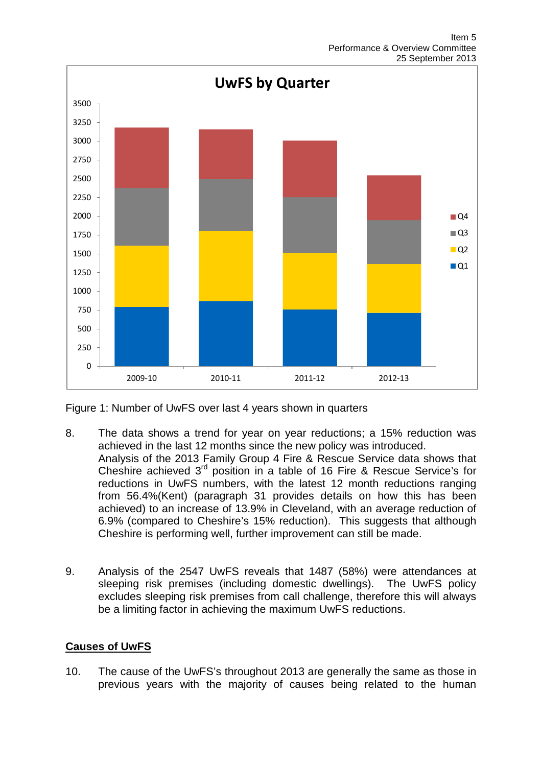

Figure 1: Number of UwFS over last 4 years shown in quarters

- 8. The data shows a trend for year on year reductions; a 15% reduction was achieved in the last 12 months since the new policy was introduced. Analysis of the 2013 Family Group 4 Fire & Rescue Service data shows that Cheshire achieved  $3<sup>rd</sup>$  position in a table of 16 Fire & Rescue Service's for reductions in UwFS numbers, with the latest 12 month reductions ranging from 56.4%(Kent) (paragraph 31 provides details on how this has been achieved) to an increase of 13.9% in Cleveland, with an average reduction of 6.9% (compared to Cheshire's 15% reduction). This suggests that although Cheshire is performing well, further improvement can still be made.
- 9. Analysis of the 2547 UwFS reveals that 1487 (58%) were attendances at sleeping risk premises (including domestic dwellings). The UwFS policy excludes sleeping risk premises from call challenge, therefore this will always be a limiting factor in achieving the maximum UwFS reductions.

# **Causes of UwFS**

10. The cause of the UwFS's throughout 2013 are generally the same as those in previous years with the majority of causes being related to the human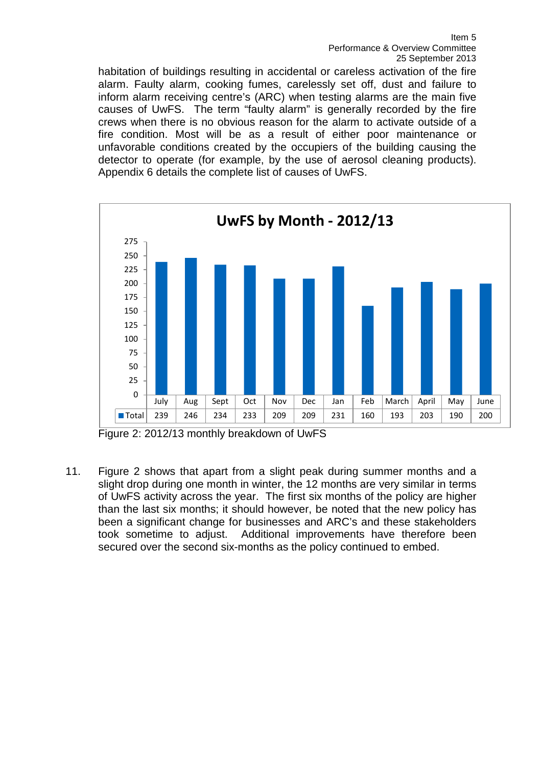habitation of buildings resulting in accidental or careless activation of the fire alarm. Faulty alarm, cooking fumes, carelessly set off, dust and failure to inform alarm receiving centre's (ARC) when testing alarms are the main five causes of UwFS. The term "faulty alarm" is generally recorded by the fire crews when there is no obvious reason for the alarm to activate outside of a fire condition. Most will be as a result of either poor maintenance or unfavorable conditions created by the occupiers of the building causing the detector to operate (for example, by the use of aerosol cleaning products). Appendix 6 details the complete list of causes of UwFS.



Figure 2: 2012/13 monthly breakdown of UwFS

11. Figure 2 shows that apart from a slight peak during summer months and a slight drop during one month in winter, the 12 months are very similar in terms of UwFS activity across the year. The first six months of the policy are higher than the last six months; it should however, be noted that the new policy has been a significant change for businesses and ARC's and these stakeholders took sometime to adjust. Additional improvements have therefore been secured over the second six-months as the policy continued to embed.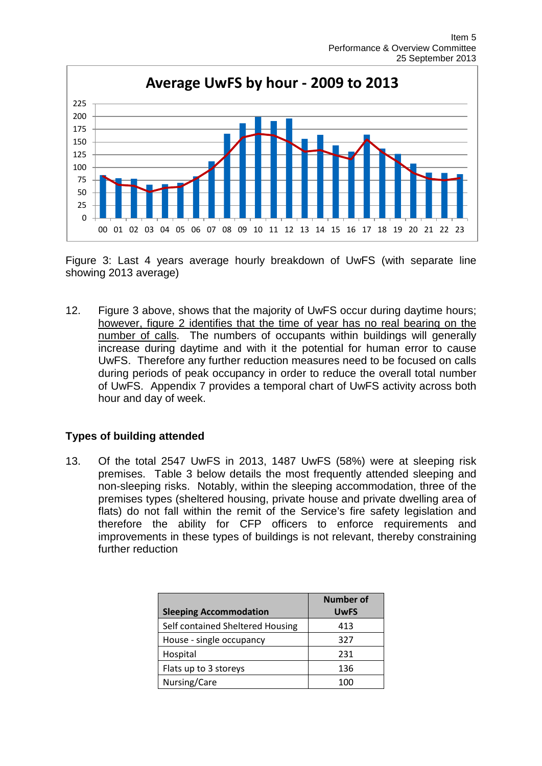

Figure 3: Last 4 years average hourly breakdown of UwFS (with separate line showing 2013 average)

12. Figure 3 above, shows that the majority of UwFS occur during daytime hours; however, figure 2 identifies that the time of year has no real bearing on the number of calls. The numbers of occupants within buildings will generally increase during daytime and with it the potential for human error to cause UwFS. Therefore any further reduction measures need to be focused on calls during periods of peak occupancy in order to reduce the overall total number of UwFS. Appendix 7 provides a temporal chart of UwFS activity across both hour and day of week.

# **Types of building attended**

13. Of the total 2547 UwFS in 2013, 1487 UwFS (58%) were at sleeping risk premises. Table 3 below details the most frequently attended sleeping and non-sleeping risks. Notably, within the sleeping accommodation, three of the premises types (sheltered housing, private house and private dwelling area of flats) do not fall within the remit of the Service's fire safety legislation and therefore the ability for CFP officers to enforce requirements and improvements in these types of buildings is not relevant, thereby constraining further reduction

| <b>Sleeping Accommodation</b>    | Number of<br><b>UwFS</b> |
|----------------------------------|--------------------------|
| Self contained Sheltered Housing | 413                      |
| House - single occupancy         | 327                      |
| Hospital                         | 231                      |
| Flats up to 3 storeys            | 136                      |
| Nursing/Care                     | 100                      |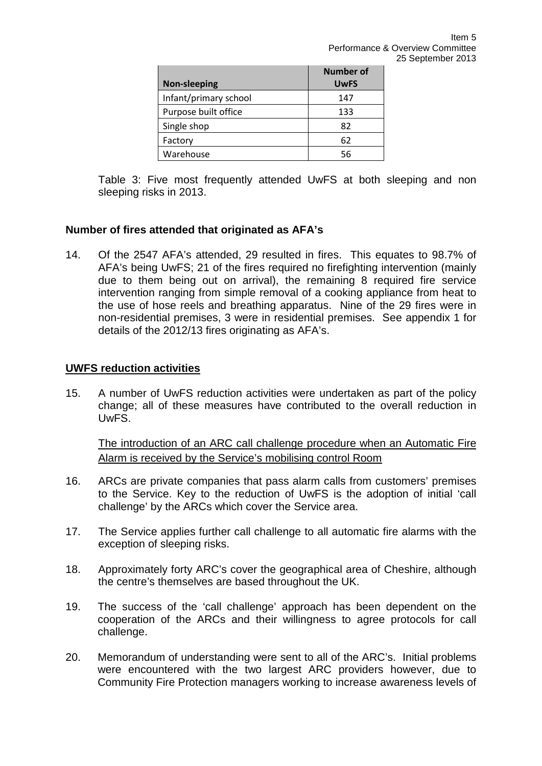| <b>Non-sleeping</b>   | Number of<br><b>UwFS</b> |
|-----------------------|--------------------------|
| Infant/primary school | 147                      |
| Purpose built office  | 133                      |
| Single shop           | 82                       |
| Factory               | 62                       |
| Warehouse             | 56                       |

Table 3: Five most frequently attended UwFS at both sleeping and non sleeping risks in 2013.

# **Number of fires attended that originated as AFA's**

14. Of the 2547 AFA's attended, 29 resulted in fires. This equates to 98.7% of AFA's being UwFS; 21 of the fires required no firefighting intervention (mainly due to them being out on arrival), the remaining 8 required fire service intervention ranging from simple removal of a cooking appliance from heat to the use of hose reels and breathing apparatus. Nine of the 29 fires were in non-residential premises, 3 were in residential premises. See appendix 1 for details of the 2012/13 fires originating as AFA's.

# **UWFS reduction activities**

15. A number of UwFS reduction activities were undertaken as part of the policy change; all of these measures have contributed to the overall reduction in UwFS.

The introduction of an ARC call challenge procedure when an Automatic Fire Alarm is received by the Service's mobilising control Room

- 16. ARCs are private companies that pass alarm calls from customers' premises to the Service. Key to the reduction of UwFS is the adoption of initial 'call challenge' by the ARCs which cover the Service area.
- 17. The Service applies further call challenge to all automatic fire alarms with the exception of sleeping risks.
- 18. Approximately forty ARC's cover the geographical area of Cheshire, although the centre's themselves are based throughout the UK.
- 19. The success of the 'call challenge' approach has been dependent on the cooperation of the ARCs and their willingness to agree protocols for call challenge.
- 20. Memorandum of understanding were sent to all of the ARC's. Initial problems were encountered with the two largest ARC providers however, due to Community Fire Protection managers working to increase awareness levels of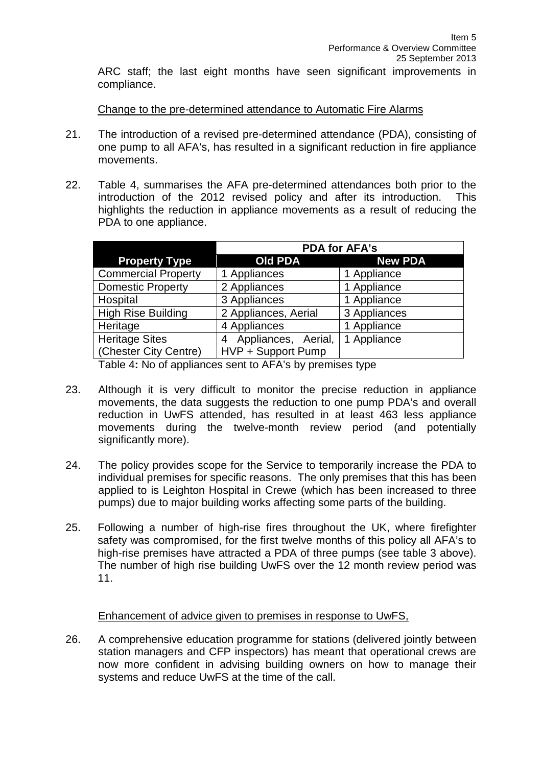ARC staff; the last eight months have seen significant improvements in compliance.

Change to the pre-determined attendance to Automatic Fire Alarms

- 21. The introduction of a revised pre-determined attendance (PDA), consisting of one pump to all AFA's, has resulted in a significant reduction in fire appliance movements.
- 22. Table 4, summarises the AFA pre-determined attendances both prior to the introduction of the 2012 revised policy and after its introduction. This highlights the reduction in appliance movements as a result of reducing the PDA to one appliance.

|                             | <b>PDA for AFA's</b>     |                |  |  |  |
|-----------------------------|--------------------------|----------------|--|--|--|
| <b>Property Type</b>        | <b>Old PDA</b>           | <b>New PDA</b> |  |  |  |
| <b>Commercial Property</b>  | 1 Appliances             | 1 Appliance    |  |  |  |
| <b>Domestic Property</b>    | 2 Appliances             | 1 Appliance    |  |  |  |
| Hospital                    | 3 Appliances             | 1 Appliance    |  |  |  |
| <b>High Rise Building</b>   | 2 Appliances, Aerial     | 3 Appliances   |  |  |  |
| Heritage                    | 4 Appliances             | 1 Appliance    |  |  |  |
| <b>Heritage Sites</b>       | Appliances, Aerial,<br>4 | 1 Appliance    |  |  |  |
| <b>Chester City Centre)</b> | HVP + Support Pump       |                |  |  |  |

Table 4**:** No of appliances sent to AFA's by premises type

- 23. Although it is very difficult to monitor the precise reduction in appliance movements, the data suggests the reduction to one pump PDA's and overall reduction in UwFS attended, has resulted in at least 463 less appliance movements during the twelve-month review period (and potentially significantly more).
- 24. The policy provides scope for the Service to temporarily increase the PDA to individual premises for specific reasons. The only premises that this has been applied to is Leighton Hospital in Crewe (which has been increased to three pumps) due to major building works affecting some parts of the building.
- 25. Following a number of high-rise fires throughout the UK, where firefighter safety was compromised, for the first twelve months of this policy all AFA's to high-rise premises have attracted a PDA of three pumps (see table 3 above). The number of high rise building UwFS over the 12 month review period was 11.

# Enhancement of advice given to premises in response to UwFS,

26. A comprehensive education programme for stations (delivered jointly between station managers and CFP inspectors) has meant that operational crews are now more confident in advising building owners on how to manage their systems and reduce UwFS at the time of the call.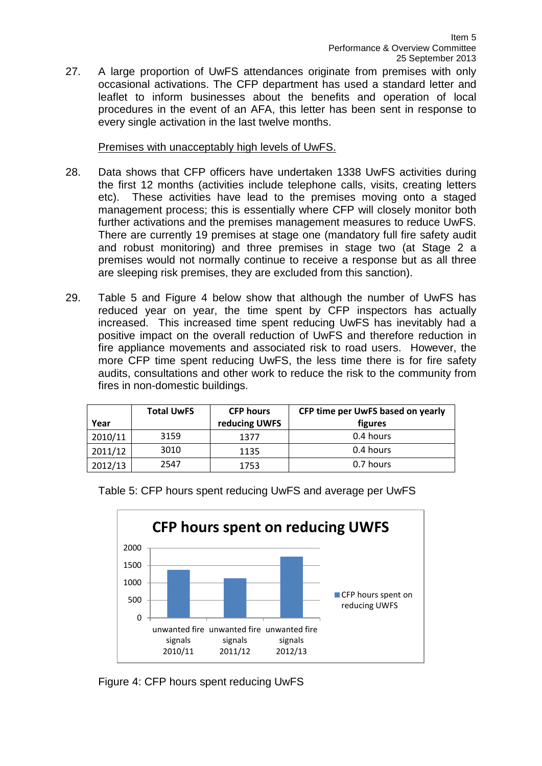27. A large proportion of UwFS attendances originate from premises with only occasional activations. The CFP department has used a standard letter and leaflet to inform businesses about the benefits and operation of local procedures in the event of an AFA, this letter has been sent in response to every single activation in the last twelve months.

# Premises with unacceptably high levels of UwFS.

- 28. Data shows that CFP officers have undertaken 1338 UwFS activities during the first 12 months (activities include telephone calls, visits, creating letters etc). These activities have lead to the premises moving onto a staged management process; this is essentially where CFP will closely monitor both further activations and the premises management measures to reduce UwFS. There are currently 19 premises at stage one (mandatory full fire safety audit and robust monitoring) and three premises in stage two (at Stage 2 a premises would not normally continue to receive a response but as all three are sleeping risk premises, they are excluded from this sanction).
- 29. Table 5 and Figure 4 below show that although the number of UwFS has reduced year on year, the time spent by CFP inspectors has actually increased. This increased time spent reducing UwFS has inevitably had a positive impact on the overall reduction of UwFS and therefore reduction in fire appliance movements and associated risk to road users. However, the more CFP time spent reducing UwFS, the less time there is for fire safety audits, consultations and other work to reduce the risk to the community from fires in non-domestic buildings.

| Year    | <b>Total UwFS</b> | <b>CFP hours</b><br>reducing UWFS | CFP time per UwFS based on yearly<br>figures |
|---------|-------------------|-----------------------------------|----------------------------------------------|
| 2010/11 | 3159              | 1377                              | 0.4 hours                                    |
| 2011/12 | 3010              | 1135                              | 0.4 hours                                    |
| 2012/13 | 2547              | 1753                              | 0.7 hours                                    |



Table 5: CFP hours spent reducing UwFS and average per UwFS

Figure 4: CFP hours spent reducing UwFS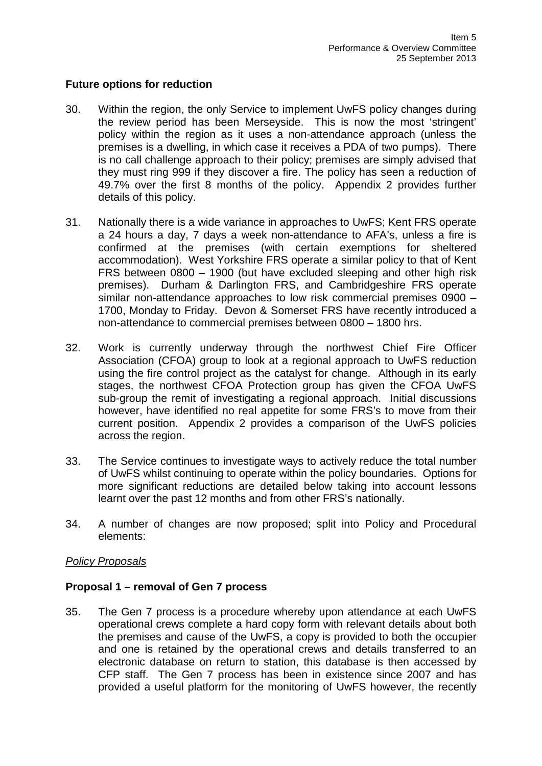### **Future options for reduction**

- 30. Within the region, the only Service to implement UwFS policy changes during the review period has been Merseyside. This is now the most 'stringent' policy within the region as it uses a non-attendance approach (unless the premises is a dwelling, in which case it receives a PDA of two pumps). There is no call challenge approach to their policy; premises are simply advised that they must ring 999 if they discover a fire. The policy has seen a reduction of 49.7% over the first 8 months of the policy. Appendix 2 provides further details of this policy.
- 31. Nationally there is a wide variance in approaches to UwFS; Kent FRS operate a 24 hours a day, 7 days a week non-attendance to AFA's, unless a fire is confirmed at the premises (with certain exemptions for sheltered accommodation). West Yorkshire FRS operate a similar policy to that of Kent FRS between 0800 – 1900 (but have excluded sleeping and other high risk premises). Durham & Darlington FRS, and Cambridgeshire FRS operate similar non-attendance approaches to low risk commercial premises 0900 – 1700, Monday to Friday. Devon & Somerset FRS have recently introduced a non-attendance to commercial premises between 0800 – 1800 hrs.
- 32. Work is currently underway through the northwest Chief Fire Officer Association (CFOA) group to look at a regional approach to UwFS reduction using the fire control project as the catalyst for change. Although in its early stages, the northwest CFOA Protection group has given the CFOA UwFS sub-group the remit of investigating a regional approach. Initial discussions however, have identified no real appetite for some FRS's to move from their current position. Appendix 2 provides a comparison of the UwFS policies across the region.
- 33. The Service continues to investigate ways to actively reduce the total number of UwFS whilst continuing to operate within the policy boundaries. Options for more significant reductions are detailed below taking into account lessons learnt over the past 12 months and from other FRS's nationally.
- 34. A number of changes are now proposed; split into Policy and Procedural elements:

# *Policy Proposals*

#### **Proposal 1 – removal of Gen 7 process**

35. The Gen 7 process is a procedure whereby upon attendance at each UwFS operational crews complete a hard copy form with relevant details about both the premises and cause of the UwFS, a copy is provided to both the occupier and one is retained by the operational crews and details transferred to an electronic database on return to station, this database is then accessed by CFP staff. The Gen 7 process has been in existence since 2007 and has provided a useful platform for the monitoring of UwFS however, the recently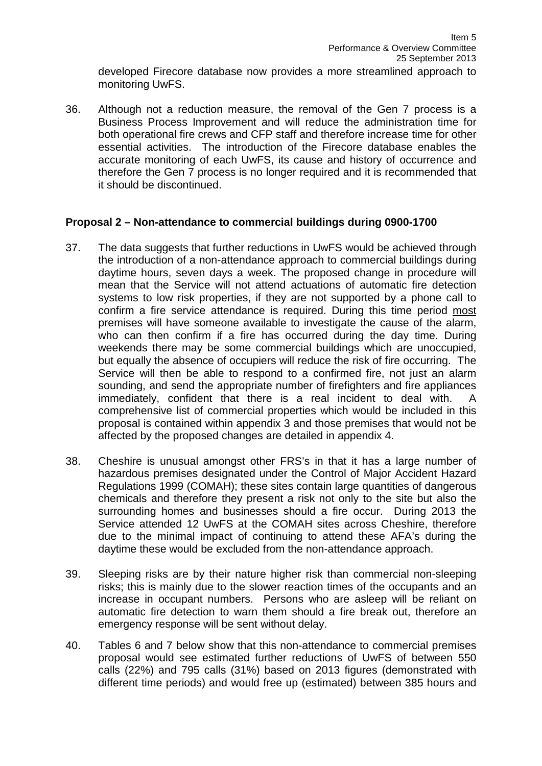developed Firecore database now provides a more streamlined approach to monitoring UwFS.

36. Although not a reduction measure, the removal of the Gen 7 process is a Business Process Improvement and will reduce the administration time for both operational fire crews and CFP staff and therefore increase time for other essential activities. The introduction of the Firecore database enables the accurate monitoring of each UwFS, its cause and history of occurrence and therefore the Gen 7 process is no longer required and it is recommended that it should be discontinued.

# **Proposal 2 – Non-attendance to commercial buildings during 0900-1700**

- 37. The data suggests that further reductions in UwFS would be achieved through the introduction of a non-attendance approach to commercial buildings during daytime hours, seven days a week. The proposed change in procedure will mean that the Service will not attend actuations of automatic fire detection systems to low risk properties, if they are not supported by a phone call to confirm a fire service attendance is required. During this time period most premises will have someone available to investigate the cause of the alarm, who can then confirm if a fire has occurred during the day time. During weekends there may be some commercial buildings which are unoccupied, but equally the absence of occupiers will reduce the risk of fire occurring. The Service will then be able to respond to a confirmed fire, not just an alarm sounding, and send the appropriate number of firefighters and fire appliances immediately, confident that there is a real incident to deal with. A comprehensive list of commercial properties which would be included in this proposal is contained within appendix 3 and those premises that would not be affected by the proposed changes are detailed in appendix 4.
- 38. Cheshire is unusual amongst other FRS's in that it has a large number of hazardous premises designated under the Control of Major Accident Hazard Regulations 1999 (COMAH); these sites contain large quantities of dangerous chemicals and therefore they present a risk not only to the site but also the surrounding homes and businesses should a fire occur. During 2013 the Service attended 12 UwFS at the COMAH sites across Cheshire, therefore due to the minimal impact of continuing to attend these AFA's during the daytime these would be excluded from the non-attendance approach.
- 39. Sleeping risks are by their nature higher risk than commercial non-sleeping risks; this is mainly due to the slower reaction times of the occupants and an increase in occupant numbers. Persons who are asleep will be reliant on automatic fire detection to warn them should a fire break out, therefore an emergency response will be sent without delay.
- 40. Tables 6 and 7 below show that this non-attendance to commercial premises proposal would see estimated further reductions of UwFS of between 550 calls (22%) and 795 calls (31%) based on 2013 figures (demonstrated with different time periods) and would free up (estimated) between 385 hours and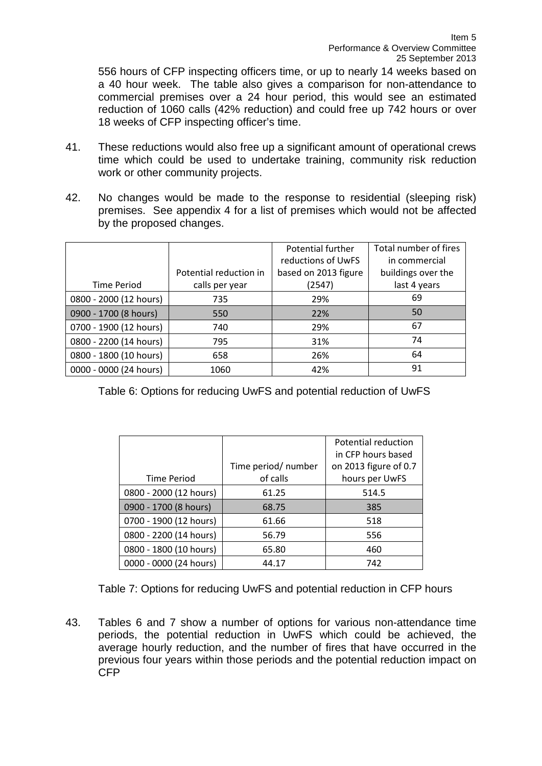556 hours of CFP inspecting officers time, or up to nearly 14 weeks based on a 40 hour week. The table also gives a comparison for non-attendance to commercial premises over a 24 hour period, this would see an estimated reduction of 1060 calls (42% reduction) and could free up 742 hours or over 18 weeks of CFP inspecting officer's time.

- 41. These reductions would also free up a significant amount of operational crews time which could be used to undertake training, community risk reduction work or other community projects.
- 42. No changes would be made to the response to residential (sleeping risk) premises. See appendix 4 for a list of premises which would not be affected by the proposed changes.

|                        |                        | Potential further    | Total number of fires |
|------------------------|------------------------|----------------------|-----------------------|
|                        |                        | reductions of UwFS   | in commercial         |
|                        | Potential reduction in | based on 2013 figure | buildings over the    |
| <b>Time Period</b>     | calls per year         | (2547)               | last 4 years          |
| 0800 - 2000 (12 hours) | 735                    | 29%                  | 69                    |
| 0900 - 1700 (8 hours)  | 550                    | 22%                  | 50                    |
| 0700 - 1900 (12 hours) | 740                    | 29%                  | 67                    |
| 0800 - 2200 (14 hours) | 795                    | 31%                  | 74                    |
| 0800 - 1800 (10 hours) | 658                    | 26%                  | 64                    |
| 0000 - 0000 (24 hours) | 1060                   | 42%                  | 91                    |

Table 6: Options for reducing UwFS and potential reduction of UwFS

|                        |                     | Potential reduction   |
|------------------------|---------------------|-----------------------|
|                        |                     | in CFP hours based    |
|                        | Time period/ number | on 2013 figure of 0.7 |
| <b>Time Period</b>     | of calls            | hours per UwFS        |
| 0800 - 2000 (12 hours) | 61.25               | 514.5                 |
| 0900 - 1700 (8 hours)  | 68.75               | 385                   |
| 0700 - 1900 (12 hours) | 61.66               | 518                   |
| 0800 - 2200 (14 hours) | 56.79               | 556                   |
| 0800 - 1800 (10 hours) | 65.80               | 460                   |
| 0000 - 0000 (24 hours) | 44.17               | 742                   |

Table 7: Options for reducing UwFS and potential reduction in CFP hours

43. Tables 6 and 7 show a number of options for various non-attendance time periods, the potential reduction in UwFS which could be achieved, the average hourly reduction, and the number of fires that have occurred in the previous four years within those periods and the potential reduction impact on CFP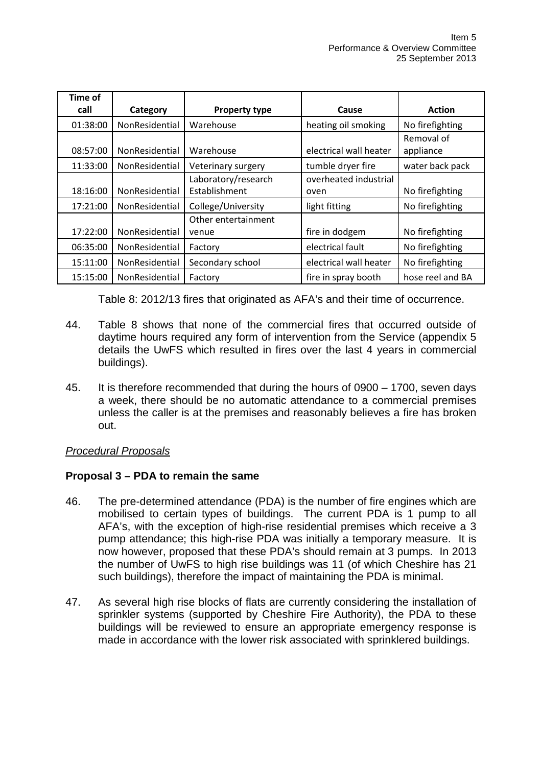| <b>Time of</b> |                       |                                      |                               |                         |
|----------------|-----------------------|--------------------------------------|-------------------------------|-------------------------|
| call           | Category              | <b>Property type</b>                 | Cause                         | <b>Action</b>           |
| 01:38:00       | NonResidential        | Warehouse                            | heating oil smoking           | No firefighting         |
| 08:57:00       | NonResidential        | Warehouse                            | electrical wall heater        | Removal of<br>appliance |
| 11:33:00       | NonResidential        | Veterinary surgery                   | tumble dryer fire             | water back pack         |
| 18:16:00       | NonResidential        | Laboratory/research<br>Establishment | overheated industrial<br>oven | No firefighting         |
| 17:21:00       | NonResidential        | College/University                   | light fitting                 | No firefighting         |
| 17:22:00       | NonResidential        | Other entertainment<br>venue         | fire in dodgem                | No firefighting         |
| 06:35:00       | NonResidential        | Factory                              | electrical fault              | No firefighting         |
| 15:11:00       | <b>NonResidential</b> | Secondary school                     | electrical wall heater        | No firefighting         |
| 15:15:00       | NonResidential        | Factory                              | fire in spray booth           | hose reel and BA        |

Table 8: 2012/13 fires that originated as AFA's and their time of occurrence.

- 44. Table 8 shows that none of the commercial fires that occurred outside of daytime hours required any form of intervention from the Service (appendix 5 details the UwFS which resulted in fires over the last 4 years in commercial buildings).
- 45. It is therefore recommended that during the hours of 0900 1700, seven days a week, there should be no automatic attendance to a commercial premises unless the caller is at the premises and reasonably believes a fire has broken out.

# *Procedural Proposals*

# **Proposal 3 – PDA to remain the same**

- 46. The pre-determined attendance (PDA) is the number of fire engines which are mobilised to certain types of buildings. The current PDA is 1 pump to all AFA's, with the exception of high-rise residential premises which receive a 3 pump attendance; this high-rise PDA was initially a temporary measure. It is now however, proposed that these PDA's should remain at 3 pumps. In 2013 the number of UwFS to high rise buildings was 11 (of which Cheshire has 21 such buildings), therefore the impact of maintaining the PDA is minimal.
- 47. As several high rise blocks of flats are currently considering the installation of sprinkler systems (supported by Cheshire Fire Authority), the PDA to these buildings will be reviewed to ensure an appropriate emergency response is made in accordance with the lower risk associated with sprinklered buildings.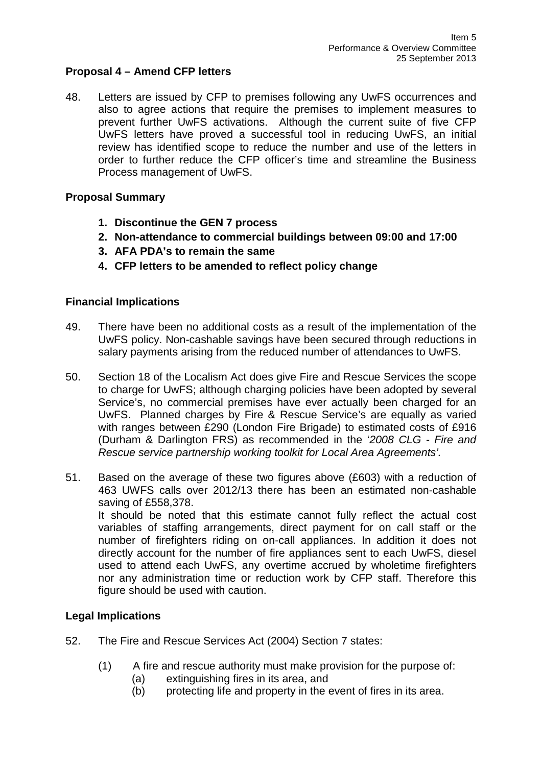# **Proposal 4 – Amend CFP letters**

48. Letters are issued by CFP to premises following any UwFS occurrences and also to agree actions that require the premises to implement measures to prevent further UwFS activations. Although the current suite of five CFP UwFS letters have proved a successful tool in reducing UwFS, an initial review has identified scope to reduce the number and use of the letters in order to further reduce the CFP officer's time and streamline the Business Process management of UwFS.

# **Proposal Summary**

- **1. Discontinue the GEN 7 process**
- **2. Non-attendance to commercial buildings between 09:00 and 17:00**
- **3. AFA PDA's to remain the same**
- **4. CFP letters to be amended to reflect policy change**

# **Financial Implications**

- 49. There have been no additional costs as a result of the implementation of the UwFS policy. Non-cashable savings have been secured through reductions in salary payments arising from the reduced number of attendances to UwFS.
- 50. Section 18 of the Localism Act does give Fire and Rescue Services the scope to charge for UwFS; although charging policies have been adopted by several Service's, no commercial premises have ever actually been charged for an UwFS. Planned charges by Fire & Rescue Service's are equally as varied with ranges between £290 (London Fire Brigade) to estimated costs of £916 (Durham & Darlington FRS) as recommended in the '*2008 CLG - Fire and Rescue service partnership working toolkit for Local Area Agreements'.*
- 51. Based on the average of these two figures above (£603) with a reduction of 463 UWFS calls over 2012/13 there has been an estimated non-cashable saving of £558,378. It should be noted that this estimate cannot fully reflect the actual cost variables of staffing arrangements, direct payment for on call staff or the number of firefighters riding on on-call appliances. In addition it does not directly account for the number of fire appliances sent to each UwFS, diesel used to attend each UwFS, any overtime accrued by wholetime firefighters nor any administration time or reduction work by CFP staff. Therefore this figure should be used with caution.

# **Legal Implications**

- 52. The Fire and Rescue Services Act (2004) Section 7 states:
	- (1) A fire and rescue authority must make provision for the purpose of:
		- (a) extinguishing fires in its area, and
		- (b) protecting life and property in the event of fires in its area.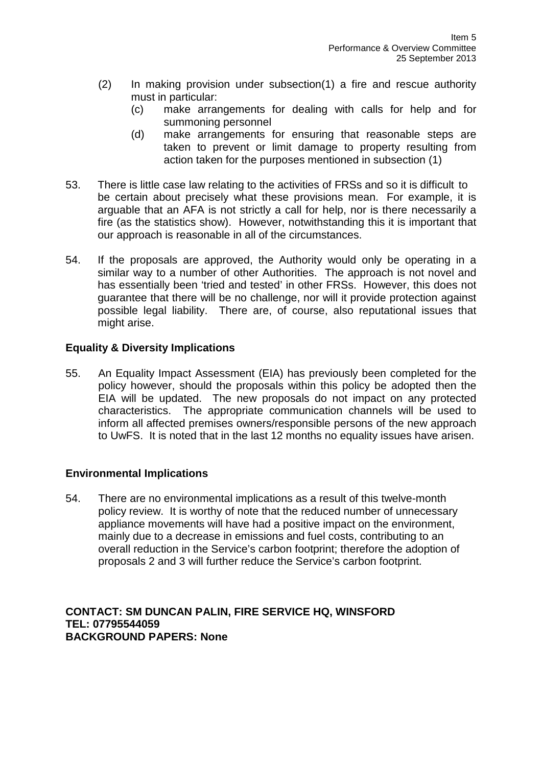- (2) In making provision under subsection(1) a fire and rescue authority must in particular:
	- (c) make arrangements for dealing with calls for help and for summoning personnel
	- (d) make arrangements for ensuring that reasonable steps are taken to prevent or limit damage to property resulting from action taken for the purposes mentioned in subsection (1)
- 53. There is little case law relating to the activities of FRSs and so it is difficult to be certain about precisely what these provisions mean. For example, it is arguable that an AFA is not strictly a call for help, nor is there necessarily a fire (as the statistics show). However, notwithstanding this it is important that our approach is reasonable in all of the circumstances.
- 54. If the proposals are approved, the Authority would only be operating in a similar way to a number of other Authorities. The approach is not novel and has essentially been 'tried and tested' in other FRSs. However, this does not guarantee that there will be no challenge, nor will it provide protection against possible legal liability. There are, of course, also reputational issues that might arise.

# **Equality & Diversity Implications**

55. An Equality Impact Assessment (EIA) has previously been completed for the policy however, should the proposals within this policy be adopted then the EIA will be updated. The new proposals do not impact on any protected characteristics. The appropriate communication channels will be used to inform all affected premises owners/responsible persons of the new approach to UwFS. It is noted that in the last 12 months no equality issues have arisen.

# **Environmental Implications**

54. There are no environmental implications as a result of this twelve-month policy review. It is worthy of note that the reduced number of unnecessary appliance movements will have had a positive impact on the environment, mainly due to a decrease in emissions and fuel costs, contributing to an overall reduction in the Service's carbon footprint; therefore the adoption of proposals 2 and 3 will further reduce the Service's carbon footprint.

# **CONTACT: SM DUNCAN PALIN, FIRE SERVICE HQ, WINSFORD TEL: 07795544059 BACKGROUND PAPERS: None**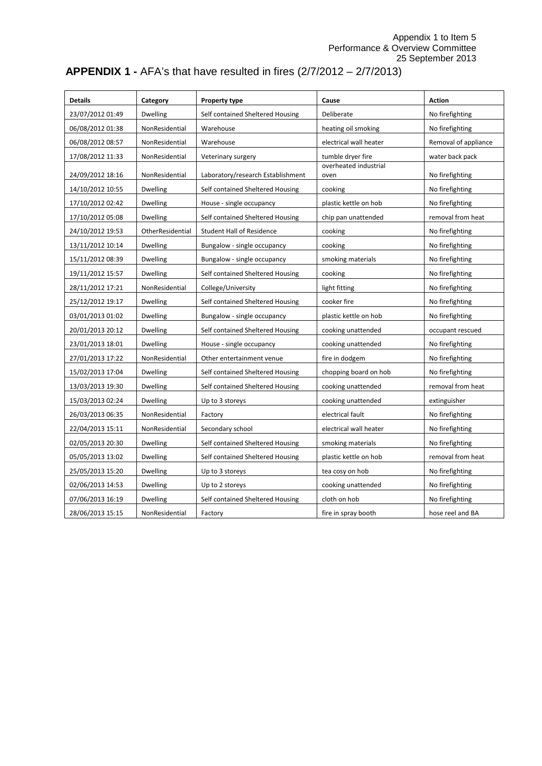Appendix 1 to Item 5 Performance & Overview Committee 25 September 2013

# **APPENDIX 1 -** AFA's that have resulted in fires (2/7/2012 – 2/7/2013)

| <b>Details</b>   | Category         | Property type                     | Cause                         | <b>Action</b>        |
|------------------|------------------|-----------------------------------|-------------------------------|----------------------|
| 23/07/2012 01:49 | <b>Dwelling</b>  | Self contained Sheltered Housing  | Deliberate                    | No firefighting      |
| 06/08/2012 01:38 | NonResidential   | Warehouse                         | heating oil smoking           | No firefighting      |
| 06/08/2012 08:57 | NonResidential   | Warehouse                         | electrical wall heater        | Removal of appliance |
| 17/08/2012 11:33 | NonResidential   | Veterinary surgery                | tumble dryer fire             | water back pack      |
| 24/09/2012 18:16 | NonResidential   | Laboratory/research Establishment | overheated industrial<br>oven | No firefighting      |
| 14/10/2012 10:55 | <b>Dwelling</b>  | Self contained Sheltered Housing  | cooking                       | No firefighting      |
| 17/10/2012 02:42 | <b>Dwelling</b>  | House - single occupancy          | plastic kettle on hob         | No firefighting      |
| 17/10/2012 05:08 | <b>Dwelling</b>  | Self contained Sheltered Housing  | chip pan unattended           | removal from heat    |
| 24/10/2012 19:53 | OtherResidential | <b>Student Hall of Residence</b>  | cooking                       | No firefighting      |
| 13/11/2012 10:14 | <b>Dwelling</b>  | Bungalow - single occupancy       | cooking                       | No firefighting      |
| 15/11/2012 08:39 | <b>Dwelling</b>  | Bungalow - single occupancy       | smoking materials             | No firefighting      |
| 19/11/2012 15:57 | <b>Dwelling</b>  | Self contained Sheltered Housing  | cooking                       | No firefighting      |
| 28/11/2012 17:21 | NonResidential   | College/University                | light fitting                 | No firefighting      |
| 25/12/2012 19:17 | <b>Dwelling</b>  | Self contained Sheltered Housing  | cooker fire                   | No firefighting      |
| 03/01/2013 01:02 | <b>Dwelling</b>  | Bungalow - single occupancy       | plastic kettle on hob         | No firefighting      |
| 20/01/2013 20:12 | <b>Dwelling</b>  | Self contained Sheltered Housing  | cooking unattended            | occupant rescued     |
| 23/01/2013 18:01 | <b>Dwelling</b>  | House - single occupancy          | cooking unattended            | No firefighting      |
| 27/01/2013 17:22 | NonResidential   | Other entertainment venue         | fire in dodgem                | No firefighting      |
| 15/02/2013 17:04 | <b>Dwelling</b>  | Self contained Sheltered Housing  | chopping board on hob         | No firefighting      |
| 13/03/2013 19:30 | <b>Dwelling</b>  | Self contained Sheltered Housing  | cooking unattended            | removal from heat    |
| 15/03/2013 02:24 | <b>Dwelling</b>  | Up to 3 storeys                   | cooking unattended            | extinguisher         |
| 26/03/2013 06:35 | NonResidential   | Factory                           | electrical fault              | No firefighting      |
| 22/04/2013 15:11 | NonResidential   | Secondary school                  | electrical wall heater        | No firefighting      |
| 02/05/2013 20:30 | <b>Dwelling</b>  | Self contained Sheltered Housing  | smoking materials             | No firefighting      |
| 05/05/2013 13:02 | <b>Dwelling</b>  | Self contained Sheltered Housing  | plastic kettle on hob         | removal from heat    |
| 25/05/2013 15:20 | <b>Dwelling</b>  | Up to 3 storeys                   | tea cosy on hob               | No firefighting      |
| 02/06/2013 14:53 | <b>Dwelling</b>  | Up to 2 storeys                   | cooking unattended            | No firefighting      |
| 07/06/2013 16:19 | <b>Dwelling</b>  | Self contained Sheltered Housing  | cloth on hob                  | No firefighting      |
| 28/06/2013 15:15 | NonResidential   | Factory                           | fire in spray booth           | hose reel and BA     |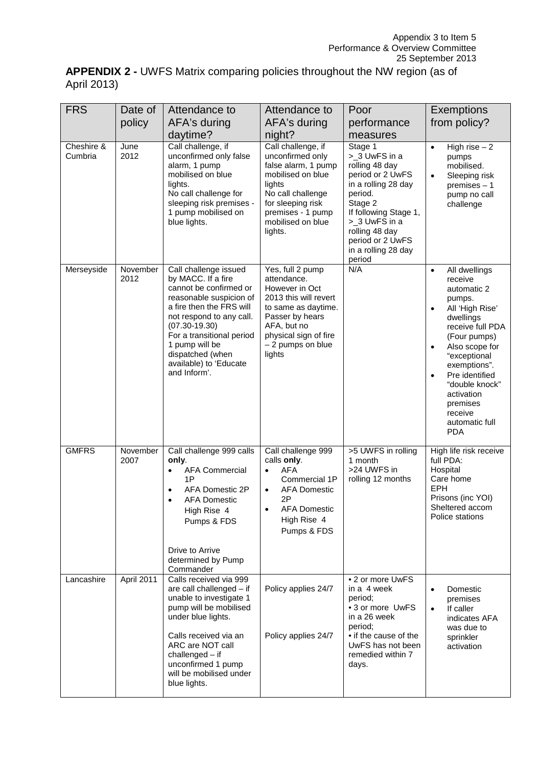| <b>APPENDIX 2 - UWFS Matrix comparing policies throughout the NW region (as of</b> |  |  |  |
|------------------------------------------------------------------------------------|--|--|--|
| April 2013)                                                                        |  |  |  |

| <b>FRS</b>            | Date of          | Attendance to                                                                                                                                                                                                                                                                              | Attendance to                                                                                                                                                                               | Poor                                                                                                                                                                                                                         | <b>Exemptions</b>                                                                                                                                                                                                                                                                                                                    |
|-----------------------|------------------|--------------------------------------------------------------------------------------------------------------------------------------------------------------------------------------------------------------------------------------------------------------------------------------------|---------------------------------------------------------------------------------------------------------------------------------------------------------------------------------------------|------------------------------------------------------------------------------------------------------------------------------------------------------------------------------------------------------------------------------|--------------------------------------------------------------------------------------------------------------------------------------------------------------------------------------------------------------------------------------------------------------------------------------------------------------------------------------|
|                       | policy           | AFA's during                                                                                                                                                                                                                                                                               | AFA's during                                                                                                                                                                                | performance                                                                                                                                                                                                                  | from policy?                                                                                                                                                                                                                                                                                                                         |
|                       |                  | daytime?                                                                                                                                                                                                                                                                                   | night?                                                                                                                                                                                      | measures                                                                                                                                                                                                                     |                                                                                                                                                                                                                                                                                                                                      |
| Cheshire &<br>Cumbria | June<br>2012     | Call challenge, if<br>unconfirmed only false<br>alarm, 1 pump<br>mobilised on blue<br>lights.<br>No call challenge for<br>sleeping risk premises -<br>1 pump mobilised on<br>blue lights.                                                                                                  | Call challenge, if<br>unconfirmed only<br>false alarm, 1 pump<br>mobilised on blue<br>lights<br>No call challenge<br>for sleeping risk<br>premises - 1 pump<br>mobilised on blue<br>lights. | Stage 1<br>>_3 UwFS in a<br>rolling 48 day<br>period or 2 UwFS<br>in a rolling 28 day<br>period.<br>Stage 2<br>If following Stage 1,<br>>_3 UwFS in a<br>rolling 48 day<br>period or 2 UwFS<br>in a rolling 28 day<br>period | High rise $-2$<br>$\bullet$<br>pumps<br>mobilised.<br>Sleeping risk<br>$\bullet$<br>premises $-1$<br>pump no call<br>challenge                                                                                                                                                                                                       |
| Merseyside            | November<br>2012 | Call challenge issued<br>by MACC. If a fire<br>cannot be confirmed or<br>reasonable suspicion of<br>a fire then the FRS will<br>not respond to any call.<br>$(07.30 - 19.30)$<br>For a transitional period<br>1 pump will be<br>dispatched (when<br>available) to 'Educate<br>and Inform'. | Yes, full 2 pump<br>attendance.<br>However in Oct<br>2013 this will revert<br>to same as daytime.<br>Passer by hears<br>AFA, but no<br>physical sign of fire<br>- 2 pumps on blue<br>lights | N/A                                                                                                                                                                                                                          | All dwellings<br>$\bullet$<br>receive<br>automatic 2<br>pumps.<br>All 'High Rise'<br>$\bullet$<br>dwellings<br>receive full PDA<br>(Four pumps)<br>Also scope for<br>$\bullet$<br>"exceptional<br>exemptions".<br>Pre identified<br>$\bullet$<br>"double knock"<br>activation<br>premises<br>receive<br>automatic full<br><b>PDA</b> |
| <b>GMFRS</b>          | November<br>2007 | Call challenge 999 calls<br>only.<br><b>AFA Commercial</b><br>$\bullet$<br>1P<br>AFA Domestic 2P<br>$\bullet$<br><b>AFA Domestic</b><br>$\bullet$<br>High Rise 4<br>Pumps & FDS<br>Drive to Arrive<br>determined by Pump<br>Commander                                                      | Call challenge 999<br>calls only.<br><b>AFA</b><br>$\bullet$<br>Commercial 1P<br><b>AFA Domestic</b><br>$\bullet$<br>2P<br><b>AFA Domestic</b><br>High Rise 4<br>Pumps & FDS                | >5 UWFS in rolling<br>1 month<br>>24 UWFS in<br>rolling 12 months                                                                                                                                                            | High life risk receive<br>full PDA:<br>Hospital<br>Care home<br><b>EPH</b><br>Prisons (inc YOI)<br>Sheltered accom<br>Police stations                                                                                                                                                                                                |
| Lancashire            | April 2011       | Calls received via 999<br>are call challenged - if<br>unable to investigate 1<br>pump will be mobilised<br>under blue lights.<br>Calls received via an<br>ARC are NOT call<br>$challenged - if$<br>unconfirmed 1 pump<br>will be mobilised under<br>blue lights.                           | Policy applies 24/7<br>Policy applies 24/7                                                                                                                                                  | • 2 or more UwFS<br>in a 4 week<br>period;<br>• 3 or more UwFS<br>in a 26 week<br>period;<br>• if the cause of the<br>UwFS has not been<br>remedied within 7<br>days.                                                        | Domestic<br>$\bullet$<br>premises<br>If caller<br>$\bullet$<br>indicates AFA<br>was due to<br>sprinkler<br>activation                                                                                                                                                                                                                |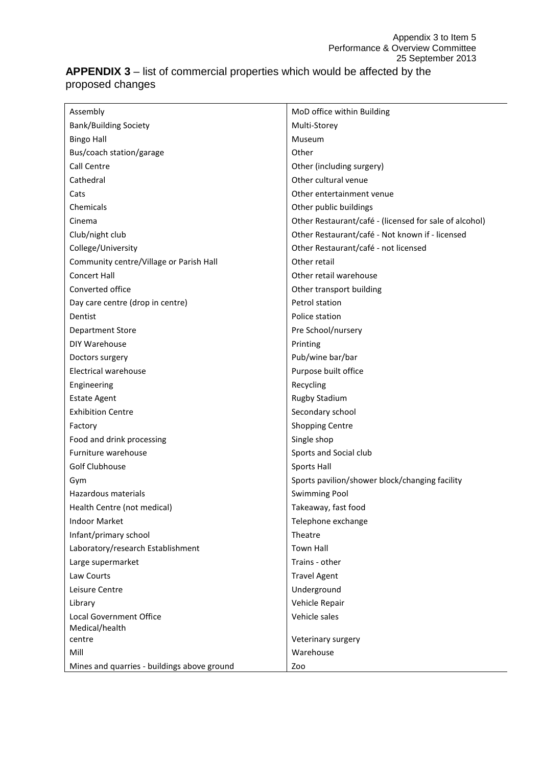# **APPENDIX 3** – list of commercial properties which would be affected by the proposed changes

| Assembly                                    | MoD office within Building                             |
|---------------------------------------------|--------------------------------------------------------|
| <b>Bank/Building Society</b>                | Multi-Storey                                           |
| <b>Bingo Hall</b>                           | Museum                                                 |
| Bus/coach station/garage                    | Other                                                  |
| Call Centre                                 | Other (including surgery)                              |
| Cathedral                                   | Other cultural venue                                   |
| Cats                                        | Other entertainment venue                              |
| Chemicals                                   | Other public buildings                                 |
| Cinema                                      | Other Restaurant/café - (licensed for sale of alcohol) |
| Club/night club                             | Other Restaurant/café - Not known if - licensed        |
| College/University                          | Other Restaurant/café - not licensed                   |
| Community centre/Village or Parish Hall     | Other retail                                           |
| <b>Concert Hall</b>                         | Other retail warehouse                                 |
| Converted office                            | Other transport building                               |
| Day care centre (drop in centre)            | Petrol station                                         |
| Dentist                                     | Police station                                         |
| <b>Department Store</b>                     | Pre School/nursery                                     |
| DIY Warehouse                               | Printing                                               |
| Doctors surgery                             | Pub/wine bar/bar                                       |
| <b>Electrical warehouse</b>                 | Purpose built office                                   |
| Engineering                                 | Recycling                                              |
| <b>Estate Agent</b>                         | <b>Rugby Stadium</b>                                   |
| <b>Exhibition Centre</b>                    | Secondary school                                       |
| Factory                                     | <b>Shopping Centre</b>                                 |
| Food and drink processing                   | Single shop                                            |
| Furniture warehouse                         | Sports and Social club                                 |
| Golf Clubhouse                              | <b>Sports Hall</b>                                     |
| Gym                                         | Sports pavilion/shower block/changing facility         |
| Hazardous materials                         | <b>Swimming Pool</b>                                   |
| Health Centre (not medical)                 | Takeaway, fast food                                    |
| <b>Indoor Market</b>                        | Telephone exchange                                     |
| Infant/primary school                       | Theatre                                                |
| Laboratory/research Establishment           | <b>Town Hall</b>                                       |
| Large supermarket                           | Trains - other                                         |
| Law Courts                                  | <b>Travel Agent</b>                                    |
| Leisure Centre                              | Underground                                            |
| Library                                     | Vehicle Repair                                         |
| <b>Local Government Office</b>              | Vehicle sales                                          |
| Medical/health                              |                                                        |
| centre                                      | Veterinary surgery                                     |
| Mill                                        | Warehouse                                              |
| Mines and quarries - buildings above ground | Zoo                                                    |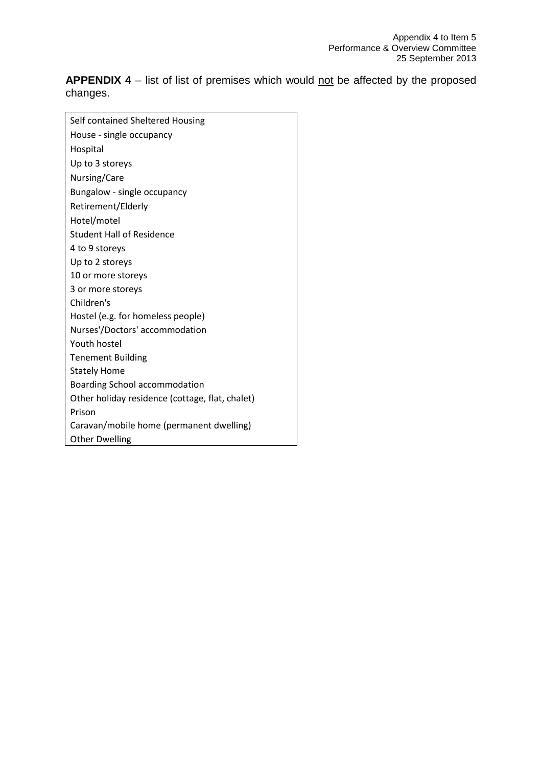**APPENDIX 4** – list of list of premises which would not be affected by the proposed changes.

| Self contained Sheltered Housing                |
|-------------------------------------------------|
| House - single occupancy                        |
| Hospital                                        |
| Up to 3 storeys                                 |
| Nursing/Care                                    |
| Bungalow - single occupancy                     |
| Retirement/Elderly                              |
| Hotel/motel                                     |
| <b>Student Hall of Residence</b>                |
| 4 to 9 storeys                                  |
| Up to 2 storeys                                 |
| 10 or more storeys                              |
| 3 or more storeys                               |
| Children's                                      |
| Hostel (e.g. for homeless people)               |
| Nurses'/Doctors' accommodation                  |
| Youth hostel                                    |
| <b>Tenement Building</b>                        |
| <b>Stately Home</b>                             |
| Boarding School accommodation                   |
| Other holiday residence (cottage, flat, chalet) |
| Prison                                          |
| Caravan/mobile home (permanent dwelling)        |
| <b>Other Dwelling</b>                           |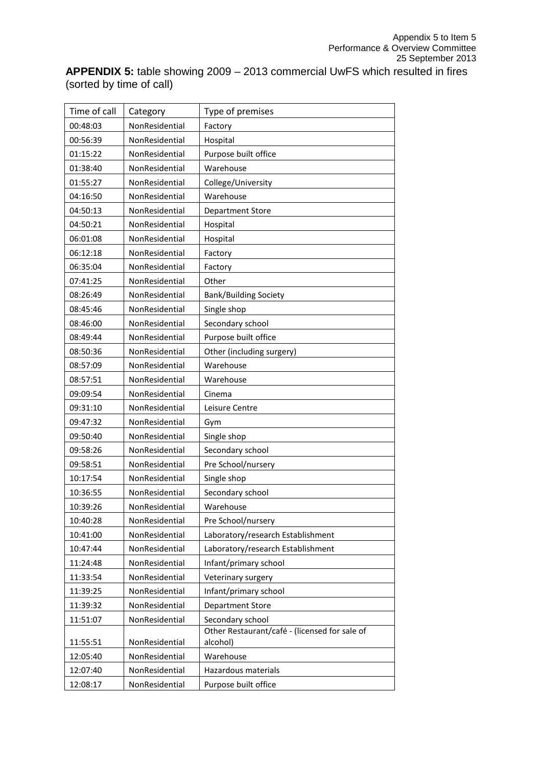**APPENDIX 5:** table showing 2009 – 2013 commercial UwFS which resulted in fires (sorted by time of call)

| Time of call | Category       | Type of premises                                          |
|--------------|----------------|-----------------------------------------------------------|
| 00:48:03     | NonResidential | Factory                                                   |
| 00:56:39     | NonResidential | Hospital                                                  |
| 01:15:22     | NonResidential | Purpose built office                                      |
| 01:38:40     | NonResidential | Warehouse                                                 |
| 01:55:27     | NonResidential | College/University                                        |
| 04:16:50     | NonResidential | Warehouse                                                 |
| 04:50:13     | NonResidential | <b>Department Store</b>                                   |
| 04:50:21     | NonResidential | Hospital                                                  |
| 06:01:08     | NonResidential | Hospital                                                  |
| 06:12:18     | NonResidential | Factory                                                   |
| 06:35:04     | NonResidential | Factory                                                   |
| 07:41:25     | NonResidential | Other                                                     |
| 08:26:49     | NonResidential | <b>Bank/Building Society</b>                              |
| 08:45:46     | NonResidential | Single shop                                               |
| 08:46:00     | NonResidential | Secondary school                                          |
| 08:49:44     | NonResidential | Purpose built office                                      |
| 08:50:36     | NonResidential | Other (including surgery)                                 |
| 08:57:09     | NonResidential | Warehouse                                                 |
| 08:57:51     | NonResidential | Warehouse                                                 |
| 09:09:54     | NonResidential | Cinema                                                    |
| 09:31:10     | NonResidential | Leisure Centre                                            |
| 09:47:32     | NonResidential | Gym                                                       |
| 09:50:40     | NonResidential | Single shop                                               |
| 09:58:26     | NonResidential | Secondary school                                          |
| 09:58:51     | NonResidential | Pre School/nursery                                        |
| 10:17:54     | NonResidential | Single shop                                               |
| 10:36:55     | NonResidential | Secondary school                                          |
| 10:39:26     | NonResidential | Warehouse                                                 |
| 10:40:28     | NonResidential | Pre School/nursery                                        |
| 10:41:00     | NonResidential | Laboratory/research Establishment                         |
| 10:47:44     | NonResidential | Laboratory/research Establishment                         |
| 11:24:48     | NonResidential | Infant/primary school                                     |
| 11:33:54     | NonResidential | Veterinary surgery                                        |
| 11:39:25     | NonResidential | Infant/primary school                                     |
| 11:39:32     | NonResidential | <b>Department Store</b>                                   |
| 11:51:07     | NonResidential | Secondary school                                          |
| 11:55:51     | NonResidential | Other Restaurant/café - (licensed for sale of<br>alcohol) |
| 12:05:40     | NonResidential | Warehouse                                                 |
| 12:07:40     | NonResidential | Hazardous materials                                       |
| 12:08:17     | NonResidential | Purpose built office                                      |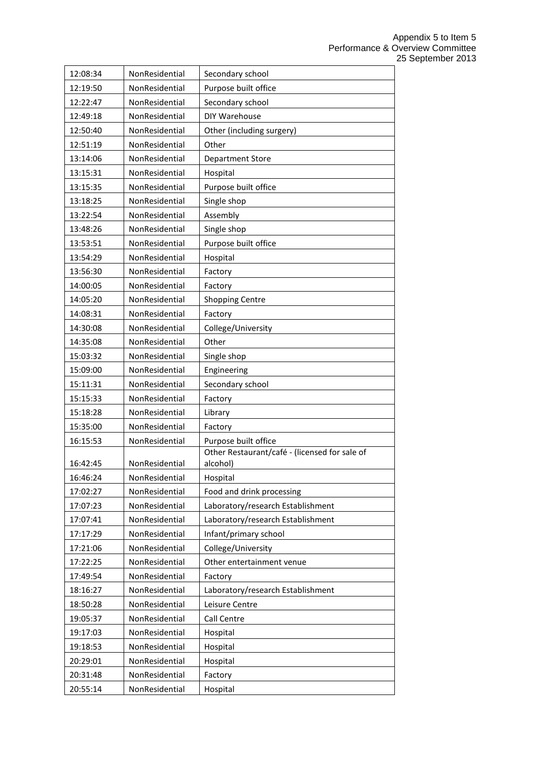| 12:08:34             | NonResidential                   | Secondary school                              |
|----------------------|----------------------------------|-----------------------------------------------|
| 12:19:50             | NonResidential                   | Purpose built office                          |
| 12:22:47             | NonResidential                   | Secondary school                              |
| 12:49:18             | NonResidential                   | DIY Warehouse                                 |
| 12:50:40             | NonResidential                   | Other (including surgery)                     |
| 12:51:19             | NonResidential                   | Other                                         |
| 13:14:06             | NonResidential                   | <b>Department Store</b>                       |
| 13:15:31             | NonResidential                   | Hospital                                      |
| 13:15:35             | NonResidential                   | Purpose built office                          |
| 13:18:25             | NonResidential                   | Single shop                                   |
| 13:22:54             | NonResidential                   | Assembly                                      |
| 13:48:26             | NonResidential                   | Single shop                                   |
| 13:53:51             | NonResidential                   | Purpose built office                          |
| 13:54:29             | NonResidential                   | Hospital                                      |
| 13:56:30             | NonResidential                   | Factory                                       |
| 14:00:05             | NonResidential                   | Factory                                       |
| 14:05:20             | NonResidential                   | <b>Shopping Centre</b>                        |
| 14:08:31             | NonResidential                   | Factory                                       |
| 14:30:08             | NonResidential                   | College/University                            |
| 14:35:08             | NonResidential                   | Other                                         |
| 15:03:32             | NonResidential                   | Single shop                                   |
| 15:09:00             | NonResidential                   | Engineering                                   |
| 15:11:31             | NonResidential                   | Secondary school                              |
| 15:15:33             | NonResidential                   | Factory                                       |
| 15:18:28             | NonResidential                   | Library                                       |
| 15:35:00             | NonResidential                   | Factory                                       |
| 16:15:53             | NonResidential                   | Purpose built office                          |
|                      |                                  | Other Restaurant/café - (licensed for sale of |
| 16:42:45             | NonResidential                   | alcohol)                                      |
| 16:46:24             | NonResidential                   | Hospital                                      |
| 17:02:27             | NonResidential                   | Food and drink processing                     |
| 17:07:23             | NonResidential<br>NonResidential | Laboratory/research Establishment             |
| 17:07:41             | NonResidential                   | Laboratory/research Establishment             |
| 17:17:29             |                                  | Infant/primary school<br>College/University   |
| 17:21:06<br>17:22:25 | NonResidential<br>NonResidential | Other entertainment venue                     |
|                      | NonResidential                   |                                               |
| 17:49:54             |                                  | Factory                                       |
| 18:16:27             | NonResidential                   | Laboratory/research Establishment             |
| 18:50:28             | NonResidential                   | Leisure Centre                                |
| 19:05:37             | NonResidential                   | Call Centre                                   |
| 19:17:03             | NonResidential                   | Hospital                                      |
| 19:18:53             | NonResidential                   | Hospital                                      |
| 20:29:01             | NonResidential                   | Hospital                                      |
| 20:31:48             | NonResidential                   | Factory                                       |
| 20:55:14             | NonResidential                   | Hospital                                      |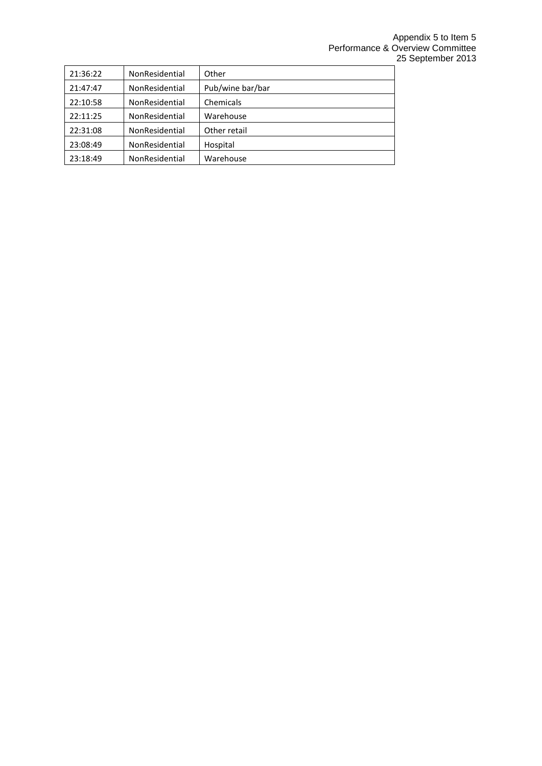| 21:36:22 | NonResidential | Other            |
|----------|----------------|------------------|
| 21:47:47 | NonResidential | Pub/wine bar/bar |
| 22:10:58 | NonResidential | Chemicals        |
| 22:11:25 | NonResidential | Warehouse        |
| 22:31:08 | NonResidential | Other retail     |
| 23:08:49 | NonResidential | Hospital         |
| 23:18:49 | NonResidential | Warehouse        |
|          |                |                  |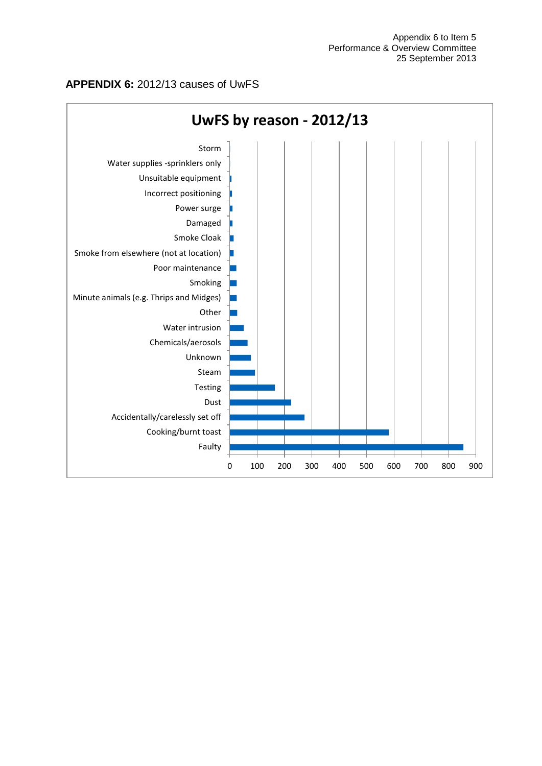#### **APPENDIX 6:** 2012/13 causes of UwFS